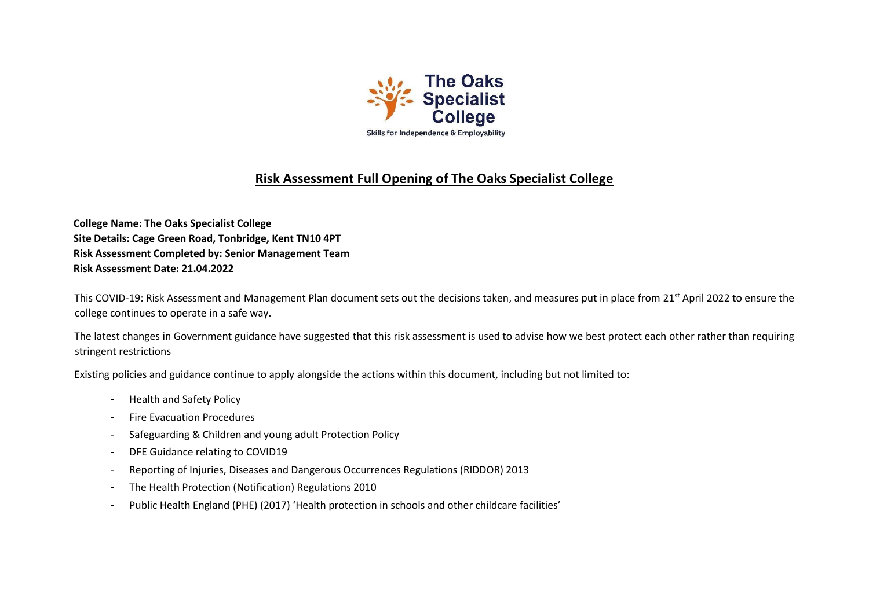

## **Risk Assessment Full Opening of The Oaks Specialist College**

**College Name: The Oaks Specialist College Site Details: Cage Green Road, Tonbridge, Kent TN10 4PT Risk Assessment Completed by: Senior Management Team Risk Assessment Date: 21.04.2022** 

This COVID-19: Risk Assessment and Management Plan document sets out the decisions taken, and measures put in place from 21<sup>st</sup> April 2022 to ensure the college continues to operate in a safe way.

The latest changes in Government guidance have suggested that this risk assessment is used to advise how we best protect each other rather than requiring stringent restrictions

Existing policies and guidance continue to apply alongside the actions within this document, including but not limited to:

- Health and Safety Policy
- Fire Evacuation Procedures
- Safeguarding & Children and young adult Protection Policy
- DFE Guidance relating to COVID19
- Reporting of Injuries, Diseases and Dangerous Occurrences Regulations (RIDDOR) 2013
- The Health Protection (Notification) Regulations 2010
- Public Health England (PHE) (2017) 'Health protection in schools and other childcare facilities'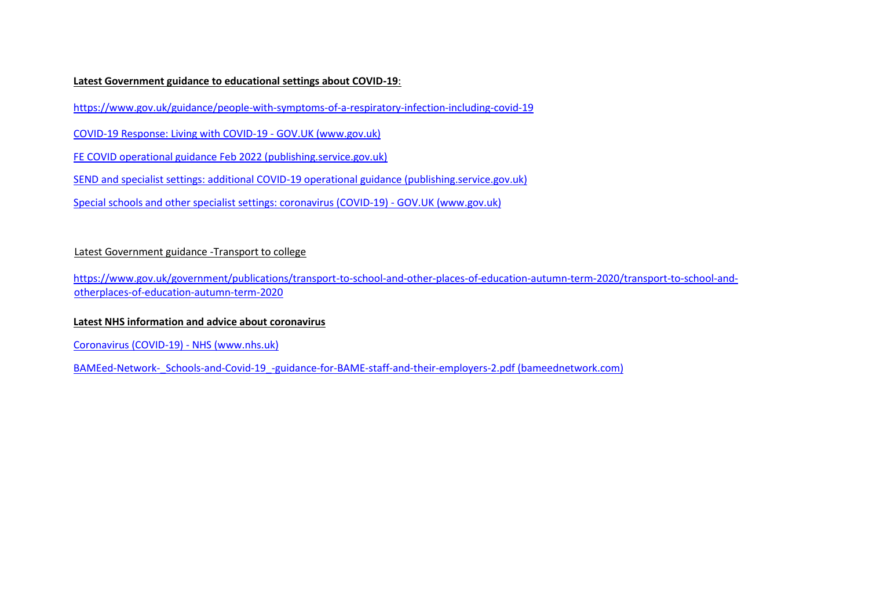## **Latest Government guidance to educational settings about COVID-19**:

<https://www.gov.uk/guidance/people-with-symptoms-of-a-respiratory-infection-including-covid-19>

[COVID-19 Response: Living with COVID-19 -](https://www.gov.uk/government/publications/covid-19-response-living-with-covid-19/covid-19-response-living-with-covid-19) [GOV.UK \(www.gov.uk\)](https://www.gov.uk/government/publications/covid-19-response-living-with-covid-19/covid-19-response-living-with-covid-19)

[FE COVID operational guidance Feb 2022 \(publishing.service.gov.uk\)](https://assets.publishing.service.gov.uk/government/uploads/system/uploads/attachment_data/file/1056992/FE_COVID_operational_guidance_Feb_2022.pdf)

[SEND and specialist settings: additional COVID-19 operational guidance \(publishing.service.gov.uk\)](https://assets.publishing.service.gov.uk/government/uploads/system/uploads/attachment_data/file/1057037/20220223_SEND_guidance.pdf)

[Special schools and other specialist settings: coronavirus \(COVID-19\) -](https://www.gov.uk/government/publications/guidance-for-full-opening-special-schools-and-other-specialist-settings?utm_medium=email&utm_campaign=govuk-notifications-topic&utm_source=5b39fd76-b131-46ff-a5f1-67c863a6237f&utm_content=daily) [GOV.UK \(www.gov.uk\)](https://www.gov.uk/government/publications/guidance-for-full-opening-special-schools-and-other-specialist-settings?utm_medium=email&utm_campaign=govuk-notifications-topic&utm_source=5b39fd76-b131-46ff-a5f1-67c863a6237f&utm_content=daily)

## Latest Government guidance -Transport to college

[https://www.gov.uk/government/publications/transport-to-school-and-other-places-of-education-autumn-term-2020/transport-to-school-and](https://www.gov.uk/government/publications/transport-to-school-and-other-places-of-education-autumn-term-2020/transport-to-school-and-other-places-of-education-autumn-term-2020)[otherplaces-of-education-autumn-term-2020](https://www.gov.uk/government/publications/transport-to-school-and-other-places-of-education-autumn-term-2020/transport-to-school-and-other-places-of-education-autumn-term-2020)

## **Latest NHS information and advice about coronavirus**

[Coronavirus \(COVID-19\) -](https://www.nhs.uk/conditions/coronavirus-covid-19/) [NHS \(www.nhs.uk\)](https://www.nhs.uk/conditions/coronavirus-covid-19/)

BAMEed-Network- Schools-and-Covid-19 -guidance-for-BAME-staff-and-their-employers-2.pdf (bameednetwork.com)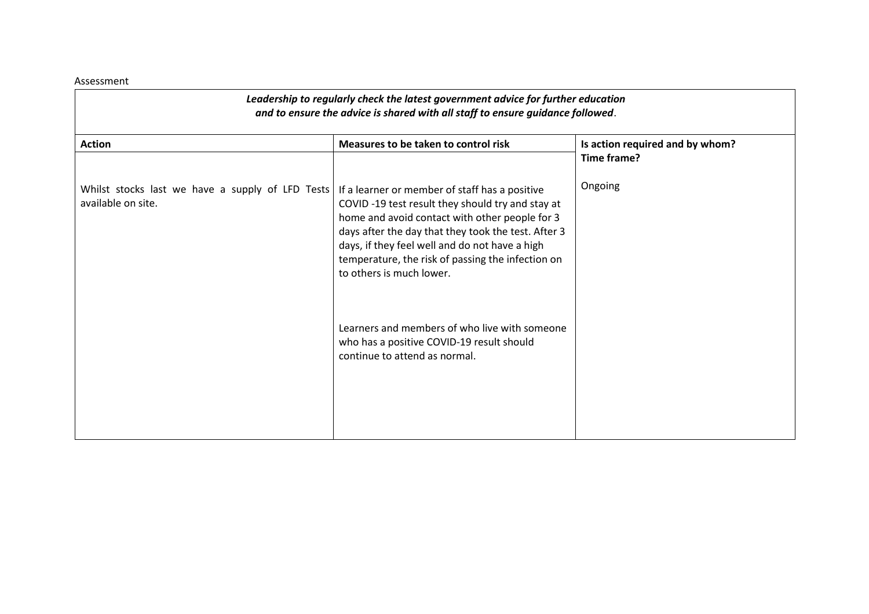Assessment

| Leadership to regularly check the latest government advice for further education<br>and to ensure the advice is shared with all staff to ensure guidance followed. |                                                                                                                                                                                                                                                                                                                                                |                                                |
|--------------------------------------------------------------------------------------------------------------------------------------------------------------------|------------------------------------------------------------------------------------------------------------------------------------------------------------------------------------------------------------------------------------------------------------------------------------------------------------------------------------------------|------------------------------------------------|
| <b>Action</b>                                                                                                                                                      | Measures to be taken to control risk                                                                                                                                                                                                                                                                                                           | Is action required and by whom?<br>Time frame? |
| Whilst stocks last we have a supply of LFD Tests<br>available on site.                                                                                             | If a learner or member of staff has a positive<br>COVID-19 test result they should try and stay at<br>home and avoid contact with other people for 3<br>days after the day that they took the test. After 3<br>days, if they feel well and do not have a high<br>temperature, the risk of passing the infection on<br>to others is much lower. | Ongoing                                        |
|                                                                                                                                                                    | Learners and members of who live with someone<br>who has a positive COVID-19 result should<br>continue to attend as normal.                                                                                                                                                                                                                    |                                                |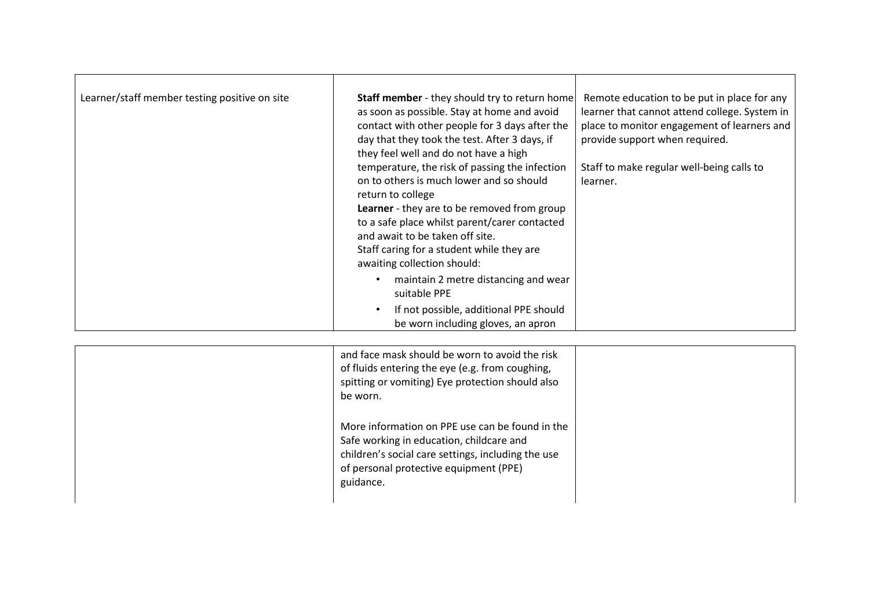| Learner/staff member testing positive on site | <b>Staff member</b> - they should try to return home<br>as soon as possible. Stay at home and avoid<br>contact with other people for 3 days after the<br>day that they took the test. After 3 days, if<br>they feel well and do not have a high           | Remote education to be put in place for any<br>learner that cannot attend college. System in<br>place to monitor engagement of learners and<br>provide support when required. |
|-----------------------------------------------|-----------------------------------------------------------------------------------------------------------------------------------------------------------------------------------------------------------------------------------------------------------|-------------------------------------------------------------------------------------------------------------------------------------------------------------------------------|
|                                               | temperature, the risk of passing the infection<br>on to others is much lower and so should<br>return to college<br><b>Learner</b> - they are to be removed from group<br>to a safe place whilst parent/carer contacted<br>and await to be taken off site. | Staff to make regular well-being calls to<br>learner.                                                                                                                         |
|                                               | Staff caring for a student while they are<br>awaiting collection should:                                                                                                                                                                                  |                                                                                                                                                                               |
|                                               | maintain 2 metre distancing and wear<br>suitable PPE                                                                                                                                                                                                      |                                                                                                                                                                               |
|                                               | If not possible, additional PPE should<br>be worn including gloves, an apron                                                                                                                                                                              |                                                                                                                                                                               |

| and face mask should be worn to avoid the risk<br>of fluids entering the eye (e.g. from coughing,<br>spitting or vomiting) Eye protection should also<br>be worn.                                        |  |
|----------------------------------------------------------------------------------------------------------------------------------------------------------------------------------------------------------|--|
| More information on PPE use can be found in the<br>Safe working in education, childcare and<br>children's social care settings, including the use<br>of personal protective equipment (PPE)<br>guidance. |  |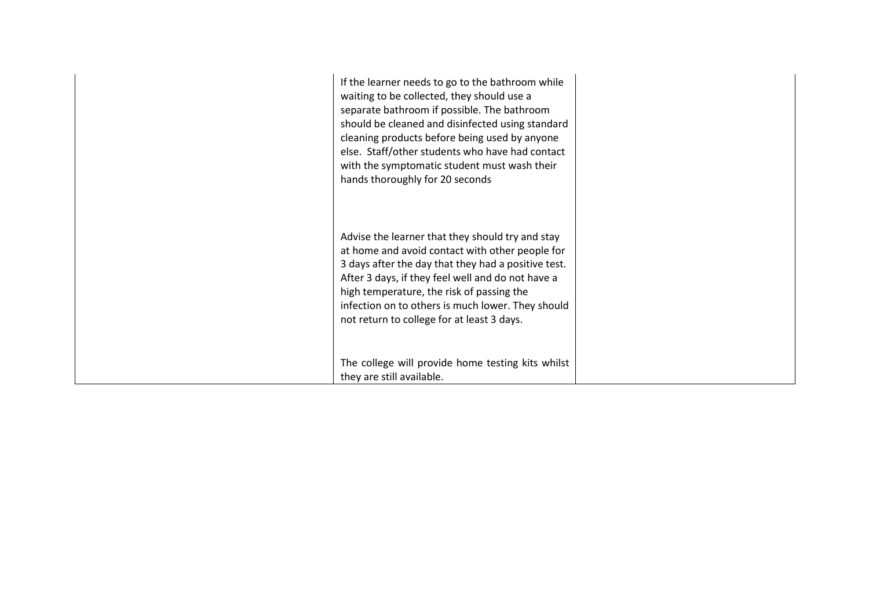| If the learner needs to go to the bathroom while<br>waiting to be collected, they should use a<br>separate bathroom if possible. The bathroom<br>should be cleaned and disinfected using standard<br>cleaning products before being used by anyone<br>else. Staff/other students who have had contact<br>with the symptomatic student must wash their<br>hands thoroughly for 20 seconds |  |
|------------------------------------------------------------------------------------------------------------------------------------------------------------------------------------------------------------------------------------------------------------------------------------------------------------------------------------------------------------------------------------------|--|
| Advise the learner that they should try and stay<br>at home and avoid contact with other people for<br>3 days after the day that they had a positive test.<br>After 3 days, if they feel well and do not have a<br>high temperature, the risk of passing the<br>infection on to others is much lower. They should<br>not return to college for at least 3 days.                          |  |
| The college will provide home testing kits whilst<br>they are still available.                                                                                                                                                                                                                                                                                                           |  |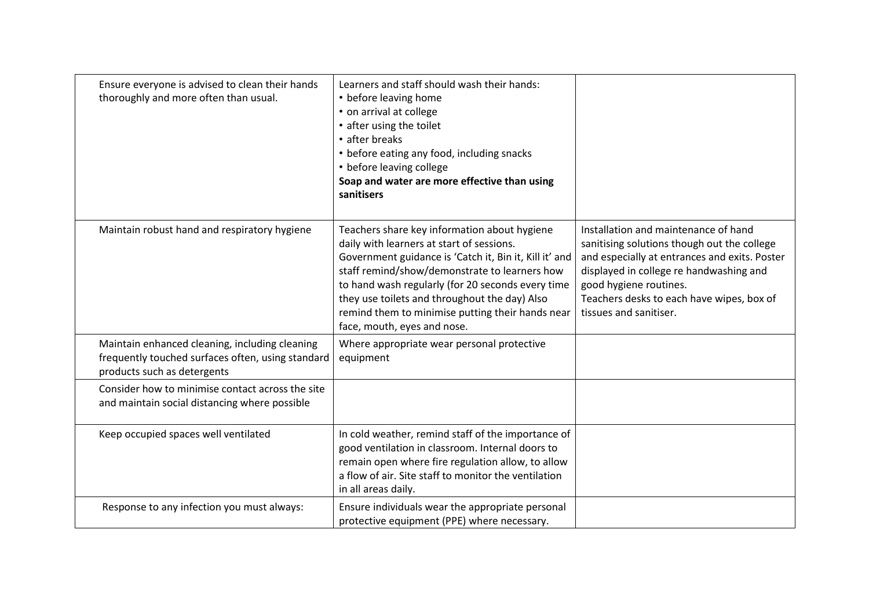| Ensure everyone is advised to clean their hands<br>thoroughly and more often than usual.                                           | Learners and staff should wash their hands:<br>• before leaving home<br>• on arrival at college<br>• after using the toilet<br>• after breaks<br>• before eating any food, including snacks<br>• before leaving college<br>Soap and water are more effective than using<br>sanitisers                                                                                                         |                                                                                                                                                                                                                                                                                  |
|------------------------------------------------------------------------------------------------------------------------------------|-----------------------------------------------------------------------------------------------------------------------------------------------------------------------------------------------------------------------------------------------------------------------------------------------------------------------------------------------------------------------------------------------|----------------------------------------------------------------------------------------------------------------------------------------------------------------------------------------------------------------------------------------------------------------------------------|
| Maintain robust hand and respiratory hygiene                                                                                       | Teachers share key information about hygiene<br>daily with learners at start of sessions.<br>Government guidance is 'Catch it, Bin it, Kill it' and<br>staff remind/show/demonstrate to learners how<br>to hand wash regularly (for 20 seconds every time<br>they use toilets and throughout the day) Also<br>remind them to minimise putting their hands near<br>face, mouth, eyes and nose. | Installation and maintenance of hand<br>sanitising solutions though out the college<br>and especially at entrances and exits. Poster<br>displayed in college re handwashing and<br>good hygiene routines.<br>Teachers desks to each have wipes, box of<br>tissues and sanitiser. |
| Maintain enhanced cleaning, including cleaning<br>frequently touched surfaces often, using standard<br>products such as detergents | Where appropriate wear personal protective<br>equipment                                                                                                                                                                                                                                                                                                                                       |                                                                                                                                                                                                                                                                                  |
| Consider how to minimise contact across the site<br>and maintain social distancing where possible                                  |                                                                                                                                                                                                                                                                                                                                                                                               |                                                                                                                                                                                                                                                                                  |
| Keep occupied spaces well ventilated                                                                                               | In cold weather, remind staff of the importance of<br>good ventilation in classroom. Internal doors to<br>remain open where fire regulation allow, to allow<br>a flow of air. Site staff to monitor the ventilation<br>in all areas daily.                                                                                                                                                    |                                                                                                                                                                                                                                                                                  |
| Response to any infection you must always:                                                                                         | Ensure individuals wear the appropriate personal<br>protective equipment (PPE) where necessary.                                                                                                                                                                                                                                                                                               |                                                                                                                                                                                                                                                                                  |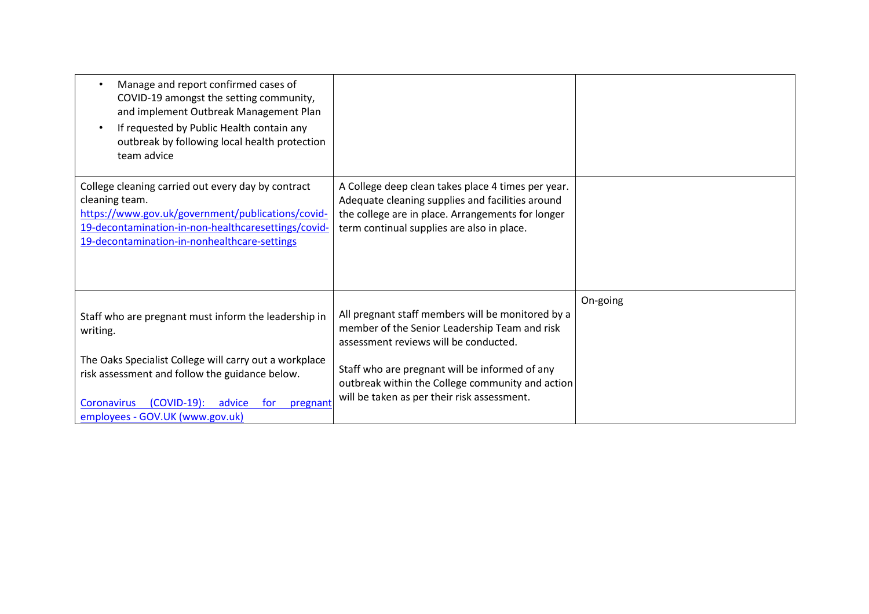| Manage and report confirmed cases of<br>COVID-19 amongst the setting community,<br>and implement Outbreak Management Plan<br>If requested by Public Health contain any<br>$\bullet$<br>outbreak by following local health protection<br>team advice |                                                                                                                                                                                                           |          |
|-----------------------------------------------------------------------------------------------------------------------------------------------------------------------------------------------------------------------------------------------------|-----------------------------------------------------------------------------------------------------------------------------------------------------------------------------------------------------------|----------|
| College cleaning carried out every day by contract<br>cleaning team.<br>https://www.gov.uk/government/publications/covid-<br>19-decontamination-in-non-healthcaresettings/covid-<br>19-decontamination-in-nonhealthcare-settings                    | A College deep clean takes place 4 times per year.<br>Adequate cleaning supplies and facilities around<br>the college are in place. Arrangements for longer<br>term continual supplies are also in place. |          |
| Staff who are pregnant must inform the leadership in<br>writing.                                                                                                                                                                                    | All pregnant staff members will be monitored by a<br>member of the Senior Leadership Team and risk<br>assessment reviews will be conducted.                                                               | On-going |
| The Oaks Specialist College will carry out a workplace<br>risk assessment and follow the guidance below.<br>$(COVID-19)$ :<br>Coronavirus<br>advice<br>for<br>pregnant<br>employees - GOV.UK (www.gov.uk)                                           | Staff who are pregnant will be informed of any<br>outbreak within the College community and action<br>will be taken as per their risk assessment.                                                         |          |